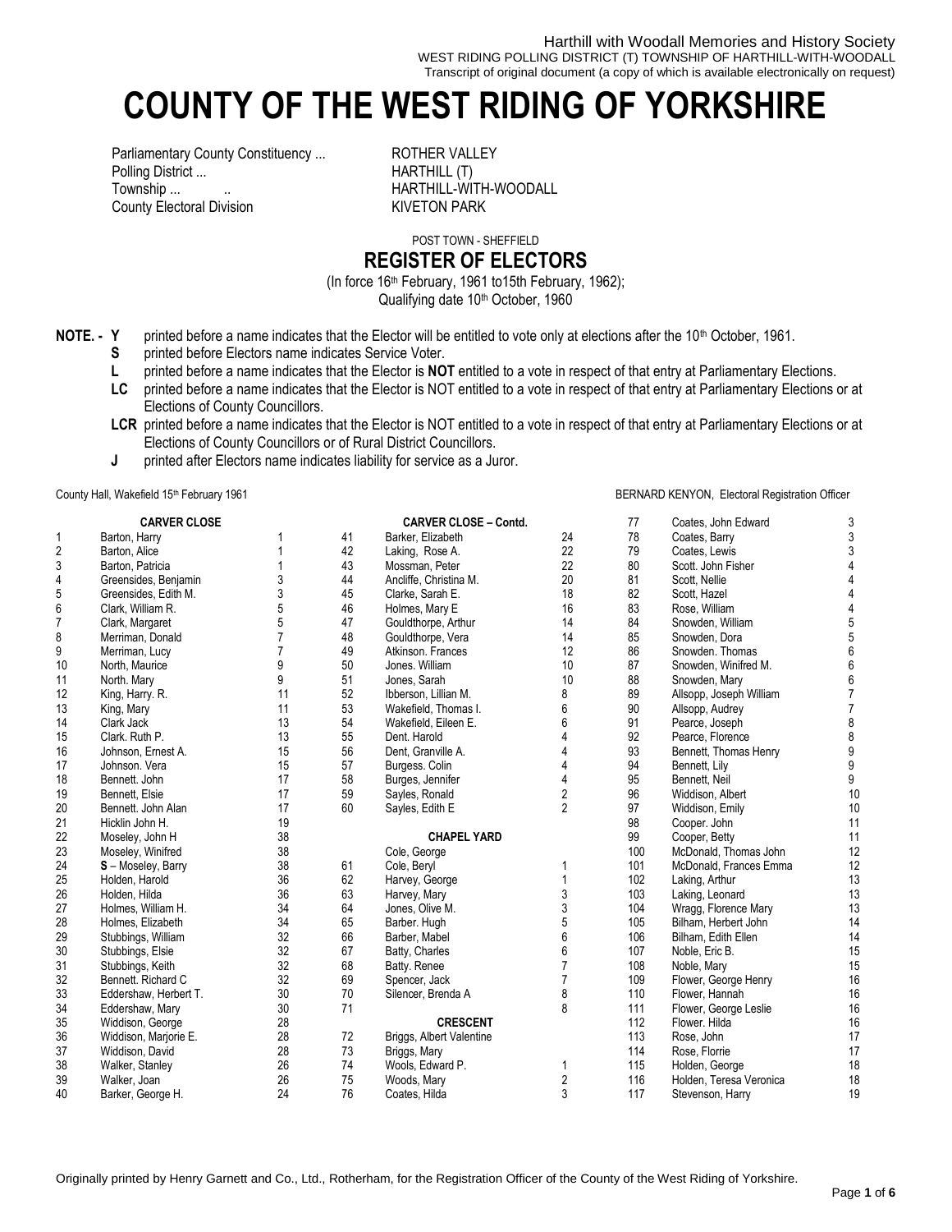Harthill with Woodall Memories and History Society WEST RIDING POLLING DISTRICT (T) TOWNSHIP OF HARTHILL-WITH-WOODALL Transcript of original document (a copy of which is available electronically on request)

# **COUNTY OF THE WEST RIDING OF YORKSHIRE**

Parliamentary County Constituency ... ROTHER VALLEY Polling District ... **HARTHILL (T)** Township ...  $\qquad \qquad \ldots$ County Electoral Division KIVETON PARK

POST TOWN - SHEFFIELD

## **REGISTER OF ELECTORS**

(In force 16th February, 1961 to15th February, 1962); Qualifying date 10<sup>th</sup> October, 1960

- **NOTE. - Y** printed before a name indicates that the Elector will be entitled to vote only at elections after the 10<sup>th</sup> October, 1961.
	- **S** printed before Electors name indicates Service Voter.
	- **L** printed before a name indicates that the Elector is **NOT** entitled to a vote in respect of that entry at Parliamentary Elections.
	- **LC** printed before a name indicates that the Elector is NOT entitled to a vote in respect of that entry at Parliamentary Elections or at Elections of County Councillors.
	- LCR printed before a name indicates that the Elector is NOT entitled to a vote in respect of that entry at Parliamentary Elections or at Elections of County Councillors or of Rural District Councillors.
	- **J** printed after Electors name indicates liability for service as a Juror.

### County Hall, Wakefield 15<sup>th</sup> February 1961 **BERNARD KENYON, Electoral Registration Officer** County Hall, Wakefield 15<sup>th</sup> February 1961

|                | <b>CARVER CLOSE</b>   |    |    | <b>CARVER CLOSE - Contd.</b>    |                | 77  | Coates, John Edward     | 3                |
|----------------|-----------------------|----|----|---------------------------------|----------------|-----|-------------------------|------------------|
| 1              | Barton, Harry         |    | 41 | Barker, Elizabeth               | 24             | 78  | Coates, Barry           | 3                |
| $\overline{2}$ | Barton, Alice         |    | 42 | Laking, Rose A.                 | 22             | 79  | Coates, Lewis           | 3                |
| 3              | Barton, Patricia      |    | 43 | Mossman, Peter                  | 22             | 80  | Scott. John Fisher      | $\overline{4}$   |
| 4              | Greensides, Benjamin  | 3  | 44 | Ancliffe, Christina M.          | 20             | 81  | Scott, Nellie           | $\overline{4}$   |
| 5              | Greensides, Edith M.  | 3  | 45 | Clarke, Sarah E.                | 18             | 82  | Scott, Hazel            | 4                |
| 6              | Clark. William R.     | 5  | 46 | Holmes, Mary E                  | 16             | 83  | Rose. William           | 4                |
| $\overline{7}$ | Clark, Margaret       | 5  | 47 | Gouldthorpe, Arthur             | 14             | 84  | Snowden, William        | 5                |
| 8              | Merriman, Donald      | 7  | 48 | Gouldthorpe, Vera               | 14             | 85  | Snowden, Dora           | 5                |
| 9              | Merriman, Lucy        | 7  | 49 | Atkinson, Frances               | 12             | 86  | Snowden. Thomas         | $6\,$            |
| 10             | North, Maurice        | 9  | 50 | Jones. William                  | 10             | 87  | Snowden, Winifred M.    | 6                |
| 11             | North. Mary           | 9  | 51 | Jones, Sarah                    | 10             | 88  | Snowden, Mary           | 6                |
| 12             | King, Harry. R.       | 11 | 52 | Ibberson, Lillian M.            | 8              | 89  | Allsopp, Joseph William | $\overline{7}$   |
| 13             | King, Mary            | 11 | 53 | Wakefield, Thomas I.            | 6              | 90  | Allsopp, Audrey         | $\overline{7}$   |
| 14             | Clark Jack            | 13 | 54 | Wakefield, Eileen E.            | 6              | 91  | Pearce, Joseph          | 8                |
| 15             | Clark. Ruth P.        | 13 | 55 | Dent. Harold                    |                | 92  | Pearce, Florence        | 8                |
| 16             | Johnson, Ernest A.    | 15 | 56 | Dent. Granville A.              |                | 93  | Bennett, Thomas Henry   | $\boldsymbol{9}$ |
| 17             | Johnson, Vera         | 15 | 57 | Burgess. Colin                  | 4              | 94  | Bennett, Lily           | $\mathsf g$      |
| 18             | Bennett. John         | 17 | 58 | Burges, Jennifer                |                | 95  | Bennett, Neil           | 9                |
| 19             | Bennett, Elsie        | 17 | 59 | Sayles, Ronald                  | 2              | 96  | Widdison, Albert        | 10               |
| 20             | Bennett. John Alan    | 17 | 60 | Sayles, Edith E                 | $\overline{2}$ | 97  | Widdison, Emily         | 10               |
| 21             | Hicklin John H.       | 19 |    |                                 |                | 98  | Cooper. John            | 11               |
| 22             | Moseley, John H       | 38 |    | <b>CHAPEL YARD</b>              |                | 99  | Cooper, Betty           | 11               |
| 23             | Moseley, Winifred     | 38 |    | Cole, George                    |                | 100 | McDonald. Thomas John   | 12               |
| 24             | S - Moseley, Barry    | 38 | 61 | Cole, Beryl                     | 1              | 101 | McDonald, Frances Emma  | 12               |
| 25             | Holden, Harold        | 36 | 62 | Harvey, George                  |                | 102 | Laking, Arthur          | 13               |
| 26             | Holden, Hilda         | 36 | 63 | Harvey, Mary                    | 3              | 103 | Laking, Leonard         | 13               |
| 27             | Holmes, William H.    | 34 | 64 | Jones, Olive M.                 | 3              | 104 | Wragg, Florence Mary    | 13               |
| 28             | Holmes, Elizabeth     | 34 | 65 | Barber. Hugh                    | 5              | 105 | Bilham, Herbert John    | 14               |
| 29             | Stubbings, William    | 32 | 66 | Barber, Mabel                   | 6              | 106 | Bilham, Edith Ellen     | 14               |
| 30             | Stubbings, Elsie      | 32 | 67 | Batty, Charles                  | 6              | 107 | Noble, Eric B.          | 15               |
| 31             | Stubbings, Keith      | 32 | 68 | Batty. Renee                    | $\overline{7}$ | 108 | Noble, Mary             | 15               |
| 32             | Bennett. Richard C    | 32 | 69 | Spencer, Jack                   | $\overline{7}$ | 109 | Flower, George Henry    | 16               |
| 33             | Eddershaw, Herbert T. | 30 | 70 | Silencer, Brenda A              | 8              | 110 | Flower, Hannah          | 16               |
| 34             | Eddershaw, Mary       | 30 | 71 |                                 | 8              | 111 | Flower, George Leslie   | 16               |
| 35             | Widdison, George      | 28 |    | <b>CRESCENT</b>                 |                | 112 | Flower, Hilda           | 16               |
| 36             | Widdison, Marjorie E. | 28 | 72 | <b>Briggs, Albert Valentine</b> |                | 113 | Rose, John              | 17               |
| 37             | Widdison, David       | 28 | 73 | Briggs, Mary                    |                | 114 | Rose, Florrie           | 17               |
| 38             | Walker, Stanley       | 26 | 74 | Wools, Edward P.                | 1              | 115 | Holden, George          | 18               |
| 39             | Walker, Joan          | 26 | 75 | Woods, Mary                     | 2              | 116 | Holden, Teresa Veronica | 18               |
| 40             | Barker, George H.     | 24 | 76 | Coates, Hilda                   | 3              | 117 | Stevenson, Harry        | 19               |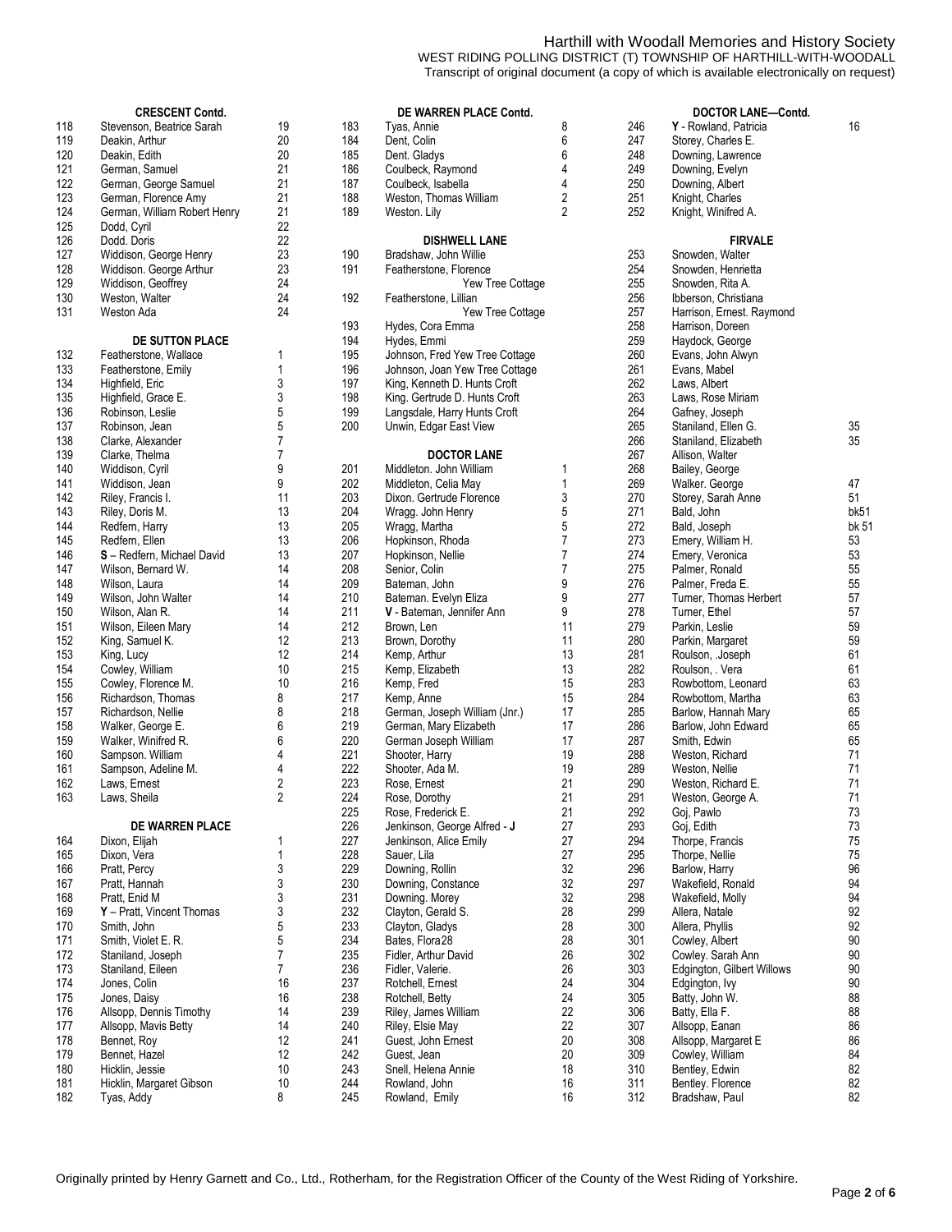#### Harthill with Woodall Memories and History Society WEST RIDING POLLING DISTRICT (T) TOWNSHIP OF HARTHILL-WITH-WOODALL Transcript of original document (a copy of which is available electronically on request)

|     | <b>CRESCENT Contd.</b>            |              |     | DE WARREN PLACE Contd.         |                |     | <b>DOCTOR LA</b>   |
|-----|-----------------------------------|--------------|-----|--------------------------------|----------------|-----|--------------------|
| 118 | Stevenson, Beatrice Sarah         | 19           | 183 | Tyas, Annie                    | 8              | 246 | Y - Rowland, Pati  |
| 119 | Deakin, Arthur                    | 20           | 184 | Dent, Colin                    | 6              | 247 | Storey, Charles E  |
| 120 | Deakin, Edith                     | 20           | 185 | Dent. Gladys                   | 6              | 248 | Downing, Lawren    |
| 121 | German, Samuel                    | 21           | 186 | Coulbeck, Raymond              | 4              | 249 | Downing, Evelyn    |
| 122 | German, George Samuel             | 21           | 187 | Coulbeck, Isabella             | 4              | 250 | Downing, Albert    |
| 123 | German, Florence Amy              | 21           | 188 | Weston, Thomas William         | $\sqrt{2}$     | 251 | Knight, Charles    |
| 124 | German, William Robert Henry      | 21           | 189 | Weston. Lily                   | $\overline{2}$ | 252 | Knight, Winifred A |
| 125 | Dodd, Cyril                       | 22           |     |                                |                |     |                    |
| 126 | Dodd. Doris                       | 22           |     | <b>DISHWELL LANE</b>           |                |     | <b>FIR\</b>        |
| 127 |                                   | 23           |     |                                |                |     |                    |
|     | Widdison, George Henry            |              | 190 | Bradshaw, John Willie          |                | 253 | Snowden, Walter    |
| 128 | Widdison. George Arthur           | 23           | 191 | Featherstone, Florence         |                | 254 | Snowden, Henrie    |
| 129 | Widdison, Geoffrey                | 24           |     | Yew Tree Cottage               |                | 255 | Snowden, Rita A.   |
| 130 | Weston, Walter                    | 24           | 192 | Featherstone, Lillian          |                | 256 | Ibberson, Christia |
| 131 | Weston Ada                        | 24           |     | Yew Tree Cottage               |                | 257 | Harrison, Ernest.  |
|     |                                   |              | 193 | Hydes, Cora Emma               |                | 258 | Harrison, Doreen   |
|     | DE SUTTON PLACE                   |              | 194 | Hydes, Emmi                    |                | 259 | Haydock, George    |
| 132 | Featherstone, Wallace             | 1            | 195 | Johnson, Fred Yew Tree Cottage |                | 260 | Evans, John Alwy   |
| 133 | Featherstone, Emily               | 1            | 196 | Johnson, Joan Yew Tree Cottage |                | 261 | Evans, Mabel       |
| 134 | Highfield, Eric                   | 3            | 197 | King, Kenneth D. Hunts Croft   |                | 262 | Laws, Albert       |
| 135 | Highfield, Grace E.               | 3            | 198 | King. Gertrude D. Hunts Croft  |                | 263 | Laws, Rose Miria   |
| 136 | Robinson, Leslie                  | 5            | 199 | Langsdale, Harry Hunts Croft   |                | 264 | Gafney, Joseph     |
| 137 | Robinson, Jean                    | 5            | 200 | Unwin, Edgar East View         |                | 265 | Staniland, Ellen O |
| 138 | Clarke, Alexander                 | 7            |     |                                |                | 266 | Staniland, Elizabe |
| 139 | Clarke, Thelma                    | 7            |     | <b>DOCTOR LANE</b>             |                | 267 | Allison, Walter    |
| 140 |                                   | 9            | 201 | Middleton. John William        | 1              | 268 | Bailey, George     |
|     | Widdison, Cyril                   |              |     |                                |                |     |                    |
| 141 | Widdison, Jean                    | 9            | 202 | Middleton, Celia May           | 1              | 269 | Walker. George     |
| 142 | Riley, Francis I.                 | 11           | 203 | Dixon. Gertrude Florence       | 3              | 270 | Storey, Sarah An   |
| 143 | Riley, Doris M.                   | 13           | 204 | Wragg. John Henry              | 5              | 271 | Bald, John         |
| 144 | Redfern, Harry                    | 13           | 205 | Wragg, Martha                  | 5              | 272 | Bald, Joseph       |
| 145 | Redfern, Ellen                    | 13           | 206 | Hopkinson, Rhoda               | 7              | 273 | Emery, William H   |
| 146 | <b>S</b> - Redfern, Michael David | 13           | 207 | Hopkinson, Nellie              | $\overline{7}$ | 274 | Emery, Veronica    |
| 147 | Wilson, Bernard W.                | 14           | 208 | Senior, Colin                  | 7              | 275 | Palmer, Ronald     |
| 148 | Wilson, Laura                     | 14           | 209 | Bateman, John                  | 9              | 276 | Palmer, Freda E.   |
| 149 | Wilson, John Walter               | 14           | 210 | Bateman. Evelyn Eliza          | 9              | 277 | Turner, Thomas I   |
| 150 | Wilson, Alan R.                   | 14           | 211 | V - Bateman, Jennifer Ann      | 9              | 278 | Turner, Ethel      |
| 151 | Wilson, Eileen Mary               | 14           | 212 | Brown, Len                     | 11             | 279 | Parkin, Leslie     |
| 152 | King, Samuel K.                   | 12           | 213 | Brown, Dorothy                 | 11             | 280 | Parkin, Margaret   |
| 153 | King, Lucy                        | 12           | 214 | Kemp, Arthur                   | 13             | 281 | Roulson, .Joseph   |
| 154 | Cowley, William                   | 10           | 215 | Kemp, Elizabeth                | 13             | 282 | Roulson, Vera      |
| 155 | Cowley, Florence M.               | 10           | 216 | Kemp, Fred                     | 15             | 283 | Rowbottom, Leor    |
|     |                                   | 8            | 217 |                                |                | 284 |                    |
| 156 | Richardson, Thomas                |              |     | Kemp, Anne                     | 15             |     | Rowbottom, Mart    |
| 157 | Richardson, Nellie                | 8            | 218 | German, Joseph William (Jnr.)  | 17             | 285 | Barlow, Hannah I   |
| 158 | Walker, George E.                 | 6            | 219 | German, Mary Elizabeth         | 17             | 286 | Barlow, John Edv   |
| 159 | Walker, Winifred R.               | 6            | 220 | German Joseph William          | 17             | 287 | Smith, Edwin       |
| 160 | Sampson. William                  | 4            | 221 | Shooter, Harry                 | 19             | 288 | Weston, Richard    |
| 161 | Sampson, Adeline M.               | 4            | 222 | Shooter, Ada M.                | 19             | 289 | Weston, Nellie     |
| 162 | Laws, Ernest                      | 2            | 223 | Rose, Ernest                   | 21             | 290 | Weston, Richard    |
| 163 | Laws, Sheila                      | $\mathbf{z}$ | 224 | Rose, Dorothy                  | 21             | 291 | Weston, George.    |
|     |                                   |              | 225 | Rose, Frederick E.             | 21             | 292 | Goj, Pawlo         |
|     | DE WARREN PLACE                   |              | 226 | Jenkinson, George Alfred - J   | 27             | 293 | Goj, Edith         |
| 164 | Dixon, Elijah                     | 1            | 227 | Jenkinson, Alice Emily         | 27             | 294 | Thorpe, Francis    |
| 165 | Dixon, Vera                       | 1            | 228 | Sauer, Lila                    | 27             | 295 | Thorpe, Nellie     |
| 166 | Pratt, Percy                      | 3            | 229 | Downing, Rollin                | 32             | 296 | Barlow, Harry      |
| 167 | Pratt, Hannah                     | 3            | 230 | Downing, Constance             | 32             | 297 | Wakefield, Ronal   |
| 168 | Pratt, Enid M                     | 3            | 231 | Downing. Morey                 | 32             | 298 | Wakefield, Molly   |
| 169 | Y - Pratt, Vincent Thomas         | 3            | 232 | Clayton, Gerald S.             | 28             | 299 | Allera, Natale     |
| 170 | Smith, John                       | 5            | 233 | Clayton, Gladys                | 28             | 300 | Allera, Phyllis    |
|     |                                   |              |     |                                |                |     |                    |
| 171 | Smith, Violet E. R.               | 5            | 234 | Bates, Flora28                 | 28             | 301 | Cowley, Albert     |
| 172 | Staniland, Joseph                 | 7            | 235 | Fidler, Arthur David           | 26             | 302 | Cowley. Sarah Ar   |
| 173 | Staniland, Eileen                 | 7            | 236 | Fidler, Valerie.               | 26             | 303 | Edgington, Gilber  |
| 174 | Jones, Colin                      | 16           | 237 | Rotchell, Ernest               | 24             | 304 | Edgington, Ivy     |
| 175 | Jones, Daisy                      | 16           | 238 | Rotchell, Betty                | 24             | 305 | Batty, John W.     |
| 176 | Allsopp, Dennis Timothy           | 14           | 239 | Riley, James William           | 22             | 306 | Batty, Ella F.     |
| 177 | Allsopp, Mavis Betty              | 14           | 240 | Riley, Elsie May               | 22             | 307 | Allsopp, Eanan     |
| 178 | Bennet, Roy                       | 12           | 241 | Guest, John Ernest             | 20             | 308 | Allsopp, Margare   |
| 179 | Bennet, Hazel                     | 12           | 242 | Guest, Jean                    | 20             | 309 | Cowley, William    |
| 180 | Hicklin, Jessie                   | 10           | 243 | Snell, Helena Annie            | 18             | 310 | Bentley, Edwin     |
|     |                                   |              |     |                                |                |     |                    |

|            | <b>CRESCENT Contd.</b>                      |                |            | DE WARREN PLACE Contd.                        |                |            | DOCTOR LANE-Contd.                 |       |
|------------|---------------------------------------------|----------------|------------|-----------------------------------------------|----------------|------------|------------------------------------|-------|
| 118        | Stevenson, Beatrice Sarah                   | 19<br>20       | 183        | Tyas, Annie                                   | 8<br>6         | 246<br>247 | Y - Rowland, Patricia              | 16    |
| 119        | Deakin, Arthur                              |                | 184        | Dent, Colin                                   |                |            | Storey, Charles E.                 |       |
| 120        | Deakin, Edith                               | 20<br>21       | 185        | Dent. Gladys                                  | 6              | 248        | Downing, Lawrence                  |       |
| 121        | German, Samuel<br>German, George Samuel     | 21             | 186<br>187 | Coulbeck, Raymond                             | 4<br>4         | 249<br>250 | Downing, Evelyn<br>Downing, Albert |       |
| 122<br>123 |                                             | 21             | 188        | Coulbeck, Isabella<br>Weston, Thomas William  | 2              | 251        | Knight, Charles                    |       |
|            | German, Florence Amy                        | 21             | 189        |                                               | $\overline{2}$ | 252        |                                    |       |
| 124<br>125 | German, William Robert Henry<br>Dodd, Cyril | 22             |            | Weston. Lily                                  |                |            | Knight, Winifred A.                |       |
|            | Dodd. Doris                                 | 22             |            |                                               |                |            |                                    |       |
| 126        | Widdison, George Henry                      | 23             | 190        | <b>DISHWELL LANE</b><br>Bradshaw, John Willie |                | 253        | <b>FIRVALE</b><br>Snowden, Walter  |       |
| 127<br>128 | Widdison. George Arthur                     | 23             | 191        | Featherstone, Florence                        |                | 254        | Snowden, Henrietta                 |       |
| 129        | Widdison, Geoffrey                          | 24             |            | Yew Tree Cottage                              |                | 255        | Snowden, Rita A.                   |       |
| 130        | Weston, Walter                              | 24             | 192        | Featherstone, Lillian                         |                | 256        | Ibberson, Christiana               |       |
| 131        | Weston Ada                                  | 24             |            | Yew Tree Cottage                              |                | 257        | Harrison, Ernest. Raymond          |       |
|            |                                             |                | 193        | Hydes, Cora Emma                              |                | 258        | Harrison, Doreen                   |       |
|            | <b>DE SUTTON PLACE</b>                      |                | 194        | Hydes, Emmi                                   |                | 259        | Haydock, George                    |       |
| 132        | Featherstone, Wallace                       | 1              | 195        | Johnson, Fred Yew Tree Cottage                |                | 260        | Evans, John Alwyn                  |       |
| 133        | Featherstone, Emily                         | 1              | 196        | Johnson, Joan Yew Tree Cottage                |                | 261        | Evans, Mabel                       |       |
| 134        | Highfield, Eric                             | 3              | 197        | King, Kenneth D. Hunts Croft                  |                | 262        | Laws, Albert                       |       |
| 135        | Highfield, Grace E.                         | 3              | 198        | King. Gertrude D. Hunts Croft                 |                | 263        | Laws, Rose Miriam                  |       |
| 136        | Robinson, Leslie                            | 5              | 199        | Langsdale, Harry Hunts Croft                  |                | 264        | Gafney, Joseph                     |       |
| 137        | Robinson, Jean                              | 5              | 200        | Unwin, Edgar East View                        |                | 265        | Staniland, Ellen G.                | 35    |
| 138        | Clarke, Alexander                           | 7              |            |                                               |                | 266        | Staniland, Elizabeth               | 35    |
| 139        | Clarke, Thelma                              | 7              |            | <b>DOCTOR LANE</b>                            |                | 267        | Allison, Walter                    |       |
| 140        | Widdison, Cyril                             | 9              | 201        | Middleton. John William                       | 1              | 268        | Bailey, George                     |       |
| 141        | Widdison, Jean                              | 9              | 202        | Middleton, Celia May                          | 1              | 269        | Walker. George                     | 47    |
| 142        | Riley, Francis I.                           | 11             | 203        | Dixon. Gertrude Florence                      | 3              | 270        | Storey, Sarah Anne                 | 51    |
| 143        | Riley, Doris M.                             | 13             | 204        | Wragg. John Henry                             | 5              | 271        | Bald, John                         | bk51  |
| 144        | Redfern, Harry                              | 13             | 205        | Wragg, Martha                                 | 5              | 272        | Bald, Joseph                       | bk 51 |
| 145        | Redfern, Ellen                              | 13             | 206        | Hopkinson, Rhoda                              | $\overline{7}$ | 273        | Emery, William H.                  | 53    |
| 146        | S-Redfern, Michael David                    | 13             | 207        | Hopkinson, Nellie                             | 7              | 274        | Emery, Veronica                    | 53    |
| 147        | Wilson, Bernard W.                          | 14             | 208        | Senior, Colin                                 | 7              | 275        | Palmer, Ronald                     | 55    |
| 148        | Wilson, Laura                               | 14             | 209        | Bateman, John                                 | 9              | 276        | Palmer, Freda E.                   | 55    |
| 149        | Wilson, John Walter                         | 14             | 210        | Bateman. Evelyn Eliza                         | 9              | 277        | Turner, Thomas Herbert             | 57    |
| 150        | Wilson, Alan R.                             | 14             | 211        | V - Bateman, Jennifer Ann                     | 9              | 278        | Turner, Ethel                      | 57    |
| 151        | Wilson, Eileen Mary                         | 14             | 212        | Brown, Len                                    | 11             | 279        | Parkin, Leslie                     | 59    |
| 152        | King, Samuel K.                             | 12             | 213        | Brown, Dorothy                                | 11             | 280        | Parkin, Margaret                   | 59    |
| 153        | King, Lucy                                  | 12             | 214        | Kemp, Arthur                                  | 13             | 281        | Roulson, .Joseph                   | 61    |
| 154        | Cowley, William                             | 10             | 215        | Kemp, Elizabeth                               | 13             | 282        | Roulson, . Vera                    | 61    |
| 155        | Cowley, Florence M.                         | 10             | 216        | Kemp, Fred                                    | 15             | 283        | Rowbottom, Leonard                 | 63    |
| 156        | Richardson, Thomas                          | 8              | 217        | Kemp, Anne                                    | 15             | 284        | Rowbottom, Martha                  | 63    |
| 157        | Richardson, Nellie                          | 8              | 218        | German, Joseph William (Jnr.)                 | 17             | 285        | Barlow, Hannah Mary                | 65    |
| 158        | Walker, George E.                           | 6              | 219        | German, Mary Elizabeth                        | 17             | 286        | Barlow, John Edward                | 65    |
| 159        | Walker, Winifred R.                         | 6              | 220        | German Joseph William                         | 17             | 287        | Smith, Edwin                       | 65    |
| 160        | Sampson. William                            | 4              | 221        | Shooter, Harry                                | 19             | 288        | Weston, Richard                    | 71    |
| 161        | Sampson, Adeline M.                         | 4              | 222        | Shooter, Ada M.                               | 19             | 289        | Weston, Nellie                     | 71    |
| 162        | Laws, Ernest                                | $\overline{2}$ | 223        | Rose, Ernest                                  | 21             | 290        | Weston, Richard E.                 | 71    |
| 163        | Laws, Sheila                                | 2              | 224        | Rose, Dorothy                                 | 21             | 291        | Weston, George A.                  | 71    |
|            |                                             |                | 225        | Rose, Frederick E.                            | 21             | 292        | Goj, Pawlo                         | 73    |
|            | DE WARREN PLACE                             |                | 226        | Jenkinson, George Alfred - J                  | 27             | 293        | Goj, Edith                         | 73    |
| 164        | Dixon, Elijah                               | 1              | 227        | Jenkinson, Alice Emily                        | 27             | 294        | Thorpe, Francis                    | 75    |
| 165        | Dixon, Vera                                 | 1              | 228        | Sauer, Lila                                   | 27             | 295        | Thorpe, Nellie                     | 75    |
| 166        | Pratt, Percy                                | 3              | 229        | Downing, Rollin                               | 32             | 296        | Barlow, Harry                      | 96    |
| 167        | Pratt, Hannah                               | 3              | 230        | Downing, Constance                            | 32             | 297        | Wakefield, Ronald                  | 94    |
| 168        | Pratt, Enid M                               | 3              | 231        | Downing. Morey                                | 32             | 298        | Wakefield, Molly                   | 94    |
| 169        | Y - Pratt, Vincent Thomas                   | 3              | 232        | Clayton, Gerald S.                            | 28             | 299        | Allera, Natale                     | 92    |
| 170        | Smith, John                                 | 5              | 233        | Clayton, Gladys                               | 28             | 300        | Allera, Phyllis                    | 92    |
| 171        | Smith, Violet E. R.                         | 5              | 234        | Bates, Flora28                                | 28             | 301        | Cowley, Albert                     | 90    |
| 172        | Staniland, Joseph                           | 7              | 235        | Fidler, Arthur David                          | 26             | 302        | Cowley. Sarah Ann                  | 90    |
| 173        | Staniland, Eileen                           | 7              | 236        | Fidler, Valerie.                              | 26             | 303        | Edgington, Gilbert Willows         | 90    |
| 174        | Jones, Colin                                | 16             | 237        | Rotchell, Ernest                              | 24             | 304        | Edgington, Ivy                     | 90    |
| 175        | Jones, Daisy                                | 16             | 238        | Rotchell, Betty                               | 24             | 305        | Batty, John W.                     | 88    |
| 176        | Allsopp, Dennis Timothy                     | 14             | 239        | Riley, James William                          | 22             | 306        | Batty, Ella F.                     | 88    |
| 177        | Allsopp, Mavis Betty                        | 14             | 240        | Riley, Elsie May                              | 22             | 307        | Allsopp, Eanan                     | 86    |
| 178        | Bennet, Roy                                 | 12             | 241        | Guest, John Ernest                            | 20             | 308        | Allsopp, Margaret E                | 86    |
| 179        | Bennet, Hazel                               | 12             | 242        | Guest, Jean                                   | 20             | 309        | Cowley, William                    | 84    |
| 180        | Hicklin, Jessie                             | 10             | 243        | Snell, Helena Annie                           | 18             | 310        | Bentley, Edwin                     | 82    |
| 181        | Hicklin, Margaret Gibson                    | 10             | 244        | Rowland, John                                 | 16             | 311        | Bentley. Florence                  | 82    |
| 182        | Tyas, Addy                                  | 8              | 245        | Rowland, Emily                                | 16             | 312        | Bradshaw, Paul                     | 82    |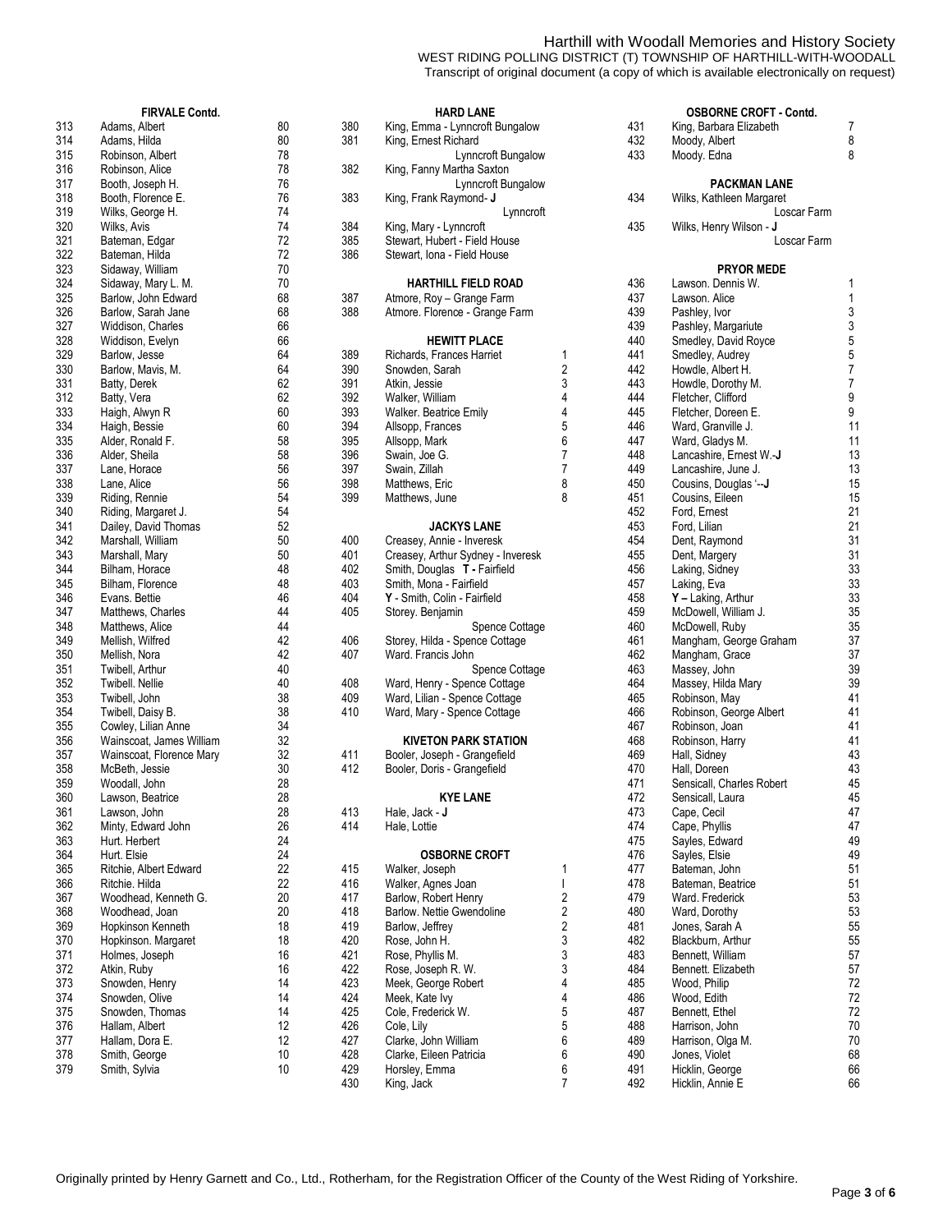## Harthill with Woodall Memories and History Society

WEST RIDING POLLING DISTRICT (T) TOWNSHIP OF HARTHILL-WITH-WOODALL Transcript of original document (a copy of which is available electronically on request)

|     | <b>FIRVALE Contd.</b>    |    |     | <b>HARD LANE</b>                  |   |     | <b>OSBORNE CROFT - Contd.</b> |                           |
|-----|--------------------------|----|-----|-----------------------------------|---|-----|-------------------------------|---------------------------|
| 313 | Adams, Albert            | 80 | 380 | King, Emma - Lynncroft Bungalow   |   | 431 | King, Barbara Elizabeth       | 7                         |
| 314 | Adams, Hilda             | 80 | 381 | King, Ernest Richard              |   | 432 | Moody, Albert                 | 8                         |
| 315 | Robinson, Albert         | 78 |     | Lynncroft Bungalow                |   | 433 | Moody. Edna                   | 8                         |
| 316 | Robinson, Alice          | 78 | 382 | King, Fanny Martha Saxton         |   |     |                               |                           |
| 317 | Booth, Joseph H.         | 76 |     | Lynncroft Bungalow                |   |     | <b>PACKMAN LANE</b>           |                           |
| 318 | Booth, Florence E.       | 76 | 383 | King, Frank Raymond- J            |   | 434 | Wilks, Kathleen Margaret      |                           |
| 319 | Wilks, George H.         | 74 |     | Lynncroft                         |   |     | Loscar Farm                   |                           |
| 320 | Wilks, Avis              | 74 | 384 | King, Mary - Lynncroft            |   | 435 | Wilks, Henry Wilson - J       |                           |
| 321 | Bateman, Edgar           | 72 | 385 | Stewart, Hubert - Field House     |   |     | Loscar Farm                   |                           |
| 322 | Bateman, Hilda           | 72 | 386 | Stewart, Iona - Field House       |   |     |                               |                           |
| 323 | Sidaway, William         | 70 |     |                                   |   |     | <b>PRYOR MEDE</b>             |                           |
| 324 | Sidaway, Mary L. M.      | 70 |     | <b>HARTHILL FIELD ROAD</b>        |   | 436 | Lawson. Dennis W.             | 1                         |
| 325 | Barlow, John Edward      | 68 | 387 | Atmore, Roy - Grange Farm         |   | 437 | Lawson, Alice                 | 1                         |
| 326 | Barlow, Sarah Jane       | 68 | 388 | Atmore. Florence - Grange Farm    |   | 439 | Pashley, Ivor                 | 3                         |
| 327 | Widdison, Charles        | 66 |     |                                   |   | 439 | Pashley, Margariute           | $\ensuremath{\mathsf{3}}$ |
| 328 | Widdison, Evelyn         | 66 |     | <b>HEWITT PLACE</b>               |   | 440 | Smedley, David Royce          | $\sqrt{5}$                |
| 329 | Barlow, Jesse            | 64 | 389 | Richards, Frances Harriet         | 1 | 441 | Smedley, Audrey               | $\mathbf 5$               |
| 330 | Barlow, Mavis, M.        | 64 | 390 | Snowden, Sarah                    | 2 | 442 | Howdle, Albert H.             | $\overline{7}$            |
| 331 | Batty, Derek             | 62 | 391 | Atkin, Jessie                     | 3 | 443 | Howdle, Dorothy M.            | $\boldsymbol{7}$          |
| 312 | Batty, Vera              | 62 | 392 | Walker, William                   | 4 | 444 | Fletcher, Clifford            | 9                         |
| 333 | Haigh, Alwyn R           | 60 | 393 | Walker. Beatrice Emily            | 4 | 445 | Fletcher, Doreen E.           | 9                         |
| 334 | Haigh, Bessie            | 60 | 394 | Allsopp, Frances                  | 5 | 446 | Ward, Granville J.            | 11                        |
| 335 | Alder, Ronald F.         | 58 | 395 | Allsopp, Mark                     | 6 | 447 | Ward, Gladys M.               | 11                        |
| 336 | Alder, Sheila            | 58 | 396 | Swain, Joe G.                     | 7 | 448 | Lancashire, Ernest W.-J       | 13                        |
| 337 | Lane, Horace             | 56 | 397 | Swain, Zillah                     | 7 | 449 | Lancashire, June J.           | 13                        |
| 338 | Lane, Alice              | 56 | 398 | Matthews, Eric                    | 8 | 450 | Cousins, Douglas '--J         | 15                        |
| 339 | Riding, Rennie           | 54 | 399 | Matthews, June                    | 8 | 451 | Cousins, Eileen               | 15                        |
| 340 | Riding, Margaret J.      | 54 |     |                                   |   | 452 | Ford, Ernest                  | 21                        |
| 341 | Dailey, David Thomas     | 52 |     | <b>JACKYS LANE</b>                |   | 453 | Ford, Lilian                  | 21                        |
| 342 | Marshall, William        | 50 | 400 | Creasey, Annie - Inveresk         |   | 454 | Dent, Raymond                 | 31                        |
| 343 | Marshall, Mary           | 50 | 401 | Creasey, Arthur Sydney - Inveresk |   | 455 | Dent, Margery                 | 31                        |
| 344 | Bilham, Horace           | 48 | 402 | Smith, Douglas T - Fairfield      |   | 456 | Laking, Sidney                | 33                        |
| 345 | Bilham, Florence         | 48 | 403 | Smith, Mona - Fairfield           |   | 457 | Laking, Eva                   | 33                        |
| 346 | Evans. Bettie            | 46 | 404 | Y - Smith, Colin - Fairfield      |   | 458 | Y - Laking, Arthur            | 33                        |
| 347 | Matthews, Charles        | 44 | 405 | Storey. Benjamin                  |   | 459 | McDowell, William J.          | 35                        |
| 348 | Matthews, Alice          | 44 |     | Spence Cottage                    |   | 460 | McDowell, Ruby                | 35                        |
| 349 | Mellish, Wilfred         | 42 | 406 | Storey, Hilda - Spence Cottage    |   | 461 | Mangham, George Graham        | $37\,$                    |
| 350 | Mellish, Nora            | 42 | 407 | Ward. Francis John                |   | 462 | Mangham, Grace                | $37\,$                    |
| 351 | Twibell, Arthur          | 40 |     | Spence Cottage                    |   | 463 | Massey, John                  | 39                        |
| 352 | Twibell. Nellie          | 40 | 408 | Ward, Henry - Spence Cottage      |   | 464 | Massey, Hilda Mary            | 39                        |
| 353 | Twibell, John            | 38 | 409 | Ward, Lilian - Spence Cottage     |   | 465 | Robinson, May                 | 41                        |
| 354 | Twibell, Daisy B.        | 38 | 410 | Ward, Mary - Spence Cottage       |   | 466 | Robinson, George Albert       | 41                        |
| 355 | Cowley, Lilian Anne      | 34 |     |                                   |   | 467 | Robinson, Joan                | 41                        |
| 356 | Wainscoat, James William | 32 |     | <b>KIVETON PARK STATION</b>       |   | 468 | Robinson, Harry               | 41                        |
| 357 | Wainscoat, Florence Mary | 32 | 411 | Booler, Joseph - Grangefield      |   | 469 | Hall, Sidney                  | 43                        |
| 358 | McBeth, Jessie           | 30 | 412 | Booler, Doris - Grangefield       |   | 470 | Hall, Doreen                  | 43                        |
| 359 | Woodall, John            | 28 |     |                                   |   | 471 | Sensicall, Charles Robert     | 45                        |
| 360 | Lawson, Beatrice         | 28 |     | <b>KYE LANE</b>                   |   | 472 | Sensicall, Laura              | 45                        |
| 361 | Lawson, John             | 28 | 413 | Hale, Jack - J                    |   | 473 | Cape, Cecil                   | 47                        |
| 362 | Minty, Edward John       | 26 | 414 | Hale, Lottie                      |   | 474 | Cape, Phyllis                 | 47                        |
| 363 | Hurt. Herbert            | 24 |     |                                   |   | 475 | Sayles, Edward                | 49                        |
| 364 | Hurt. Elsie              | 24 |     | <b>OSBORNE CROFT</b>              |   | 476 | Sayles, Elsie                 | 49                        |
| 365 | Ritchie, Albert Edward   | 22 | 415 | Walker, Joseph                    | 1 | 477 | Bateman, John                 | 51                        |
| 366 | Ritchie. Hilda           | 22 | 416 | Walker, Agnes Joan                |   | 478 | Bateman, Beatrice             | 51                        |
| 367 | Woodhead, Kenneth G.     | 20 | 417 | Barlow, Robert Henry              | 2 | 479 | Ward. Frederick               | 53                        |
| 368 | Woodhead, Joan           | 20 | 418 | Barlow. Nettie Gwendoline         | 2 | 480 | Ward, Dorothy                 | 53                        |
| 369 | Hopkinson Kenneth        | 18 | 419 | Barlow, Jeffrey                   | 2 | 481 | Jones, Sarah A                | 55                        |
| 370 | Hopkinson. Margaret      | 18 | 420 | Rose, John H.                     | 3 | 482 | Blackburn, Arthur             | 55                        |
| 371 | Holmes, Joseph           | 16 | 421 | Rose, Phyllis M.                  | 3 | 483 | Bennett, William              | 57                        |
| 372 | Atkin, Ruby              | 16 | 422 | Rose, Joseph R. W.                | 3 | 484 | Bennett. Elizabeth            | 57                        |
| 373 | Snowden, Henry           | 14 | 423 | Meek, George Robert               | 4 | 485 | Wood, Philip                  | $72\,$                    |
| 374 | Snowden, Olive           | 14 | 424 | Meek, Kate Ivy                    | 4 | 486 | Wood, Edith                   | 72                        |
| 375 | Snowden, Thomas          | 14 | 425 | Cole, Frederick W.                | 5 | 487 | Bennett, Ethel                | 72                        |
| 376 | Hallam, Albert           | 12 | 426 | Cole, Lily                        | 5 | 488 | Harrison, John                | 70                        |
| 377 | Hallam, Dora E.          | 12 | 427 | Clarke, John William              | 6 | 489 | Harrison, Olga M.             | 70                        |
| 378 | Smith, George            | 10 | 428 | Clarke, Eileen Patricia           | 6 | 490 | Jones, Violet                 | 68                        |
| 379 | Smith, Sylvia            | 10 | 429 | Horsley, Emma                     | 6 | 491 | Hicklin, George               | 66                        |
|     |                          |    | 430 | King, Jack                        | 7 | 492 | Hicklin, Annie E              | 66                        |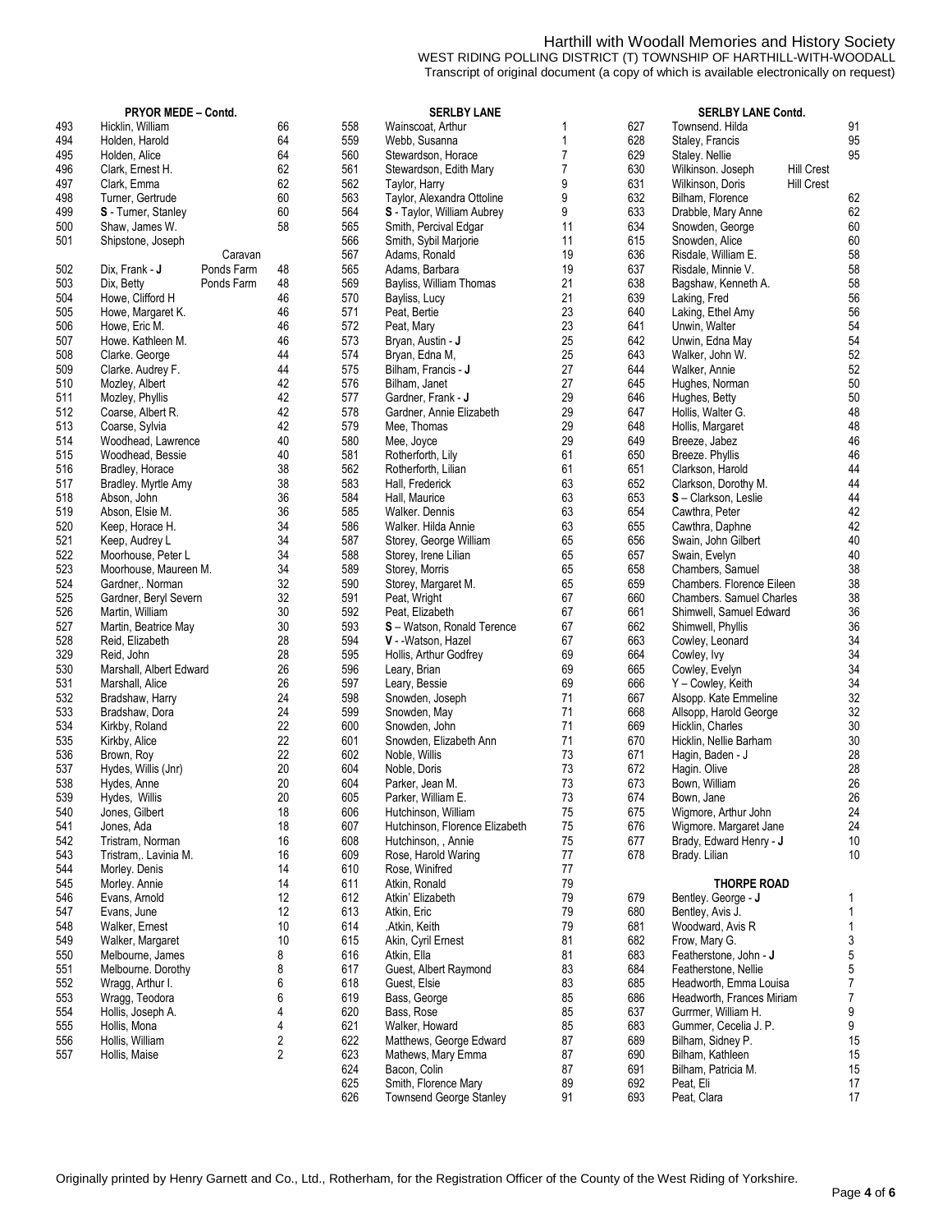### Harthill with Woodall Memories and History Society WEST RIDING POLLING DISTRICT (T) TOWNSHIP OF HARTHILL-WITH-WOODALL Transcript of original document (a copy of which is available electronically on request)

|     | PRYOR MEDE - Contd.          |                |     | <b>SERLBY LANE</b>             |                | SERLBY LANE Contd. |                                 |                   |                  |
|-----|------------------------------|----------------|-----|--------------------------------|----------------|--------------------|---------------------------------|-------------------|------------------|
| 493 | Hicklin, William             | 66             | 558 | Wainscoat, Arthur              | 1              | 627                | Townsend, Hilda                 |                   | 91               |
| 494 | Holden, Harold               | 64             | 559 | Webb, Susanna                  | 1              | 628                | Staley, Francis                 |                   | 95               |
| 495 | Holden, Alice                | 64             | 560 | Stewardson, Horace             | 7              | 629                | Staley. Nellie                  |                   | 95               |
| 496 | Clark, Ernest H.             | 62             | 561 | Stewardson, Edith Mary         | $\overline{7}$ | 630                | Wilkinson. Joseph               | <b>Hill Crest</b> |                  |
| 497 | Clark, Emma                  | 62             | 562 | Taylor, Harry                  | 9              | 631                | Wilkinson, Doris                | <b>Hill Crest</b> |                  |
| 498 | Turner, Gertrude             | 60             | 563 | Taylor, Alexandra Ottoline     | 9              | 632                | Bilham, Florence                |                   | 62               |
| 499 | S - Turner, Stanley          | 60             | 564 | S - Taylor, William Aubrey     | 9              | 633                | Drabble, Mary Anne              |                   | 62               |
| 500 | Shaw, James W.               | 58             | 565 | Smith, Percival Edgar          | 11             | 634                | Snowden, George                 |                   | 60               |
| 501 | Shipstone, Joseph            |                | 566 | Smith, Sybil Marjorie          | 11             | 615                | Snowden, Alice                  |                   | 60               |
|     | Caravan                      |                | 567 | Adams, Ronald                  | 19             | 636                | Risdale, William E.             |                   | 58               |
| 502 | Dix, Frank - J<br>Ponds Farm | 48             | 565 | Adams, Barbara                 | 19             | 637                | Risdale, Minnie V.              |                   | 58               |
| 503 | Dix, Betty<br>Ponds Farm     | 48             | 569 | Bayliss, William Thomas        | 21             | 638                | Bagshaw, Kenneth A.             |                   | 58               |
| 504 | Howe, Clifford H             | 46             | 570 | Bayliss, Lucy                  | 21             | 639                | Laking, Fred                    |                   | 56               |
| 505 | Howe, Margaret K.            | 46             | 571 | Peat, Bertie                   | 23             | 640                | Laking, Ethel Amy               |                   | 56               |
| 506 | Howe, Eric M.                | 46             | 572 | Peat, Mary                     | 23             | 641                | Unwin, Walter                   |                   | 54               |
| 507 | Howe. Kathleen M.            | 46             | 573 | Bryan, Austin - <b>J</b>       | 25             | 642                | Unwin, Edna May                 |                   | 54               |
| 508 |                              | 44             | 574 |                                | 25             | 643                |                                 |                   | 52               |
|     | Clarke. George               |                | 575 | Bryan, Edna M,                 | 27             |                    | Walker, John W.                 |                   | 52               |
| 509 | Clarke. Audrey F.            | 44             |     | Bilham, Francis - J            |                | 644                | Walker, Annie                   |                   |                  |
| 510 | Mozley, Albert               | 42             | 576 | Bilham, Janet                  | 27             | 645                | Hughes, Norman                  |                   | $50\,$           |
| 511 | Mozley, Phyllis              | 42             | 577 | Gardner, Frank - J             | 29             | 646                | Hughes, Betty                   |                   | $50\,$           |
| 512 | Coarse, Albert R.            | 42             | 578 | Gardner, Annie Elizabeth       | 29             | 647                | Hollis, Walter G.               |                   | 48               |
| 513 | Coarse, Sylvia               | 42             | 579 | Mee. Thomas                    | 29             | 648                | Hollis, Margaret                |                   | 48               |
| 514 | Woodhead, Lawrence           | 40             | 580 | Mee, Joyce                     | 29             | 649                | Breeze, Jabez                   |                   | 46               |
| 515 | Woodhead, Bessie             | 40             | 581 | Rotherforth, Lily              | 61             | 650                | Breeze. Phyllis                 |                   | 46               |
| 516 | Bradley, Horace              | 38             | 562 | Rotherforth, Lilian            | 61             | 651                | Clarkson, Harold                |                   | 44               |
| 517 | Bradley. Myrtle Amy          | 38             | 583 | Hall, Frederick                | 63             | 652                | Clarkson, Dorothy M.            |                   | 44               |
| 518 | Abson, John                  | 36             | 584 | Hall, Maurice                  | 63             | 653                | S-Clarkson, Leslie              |                   | 44               |
| 519 | Abson, Elsie M.              | 36             | 585 | Walker. Dennis                 | 63             | 654                | Cawthra, Peter                  |                   | 42               |
| 520 | Keep, Horace H.              | 34             | 586 | Walker. Hilda Annie            | 63             | 655                | Cawthra, Daphne                 |                   | 42               |
| 521 | Keep, Audrey L               | 34             | 587 | Storey, George William         | 65             | 656                | Swain, John Gilbert             |                   | $40\,$           |
| 522 | Moorhouse, Peter L           | 34             | 588 | Storey, Irene Lilian           | 65             | 657                | Swain, Evelyn                   |                   | $40\,$           |
| 523 | Moorhouse, Maureen M.        | 34             | 589 | Storey, Morris                 | 65             | 658                | Chambers, Samuel                |                   | 38               |
| 524 | Gardner,. Norman             | 32             | 590 | Storey, Margaret M.            | 65             | 659                | Chambers. Florence Eileen       |                   | 38               |
| 525 | Gardner, Beryl Severn        | 32             | 591 | Peat, Wright                   | 67             | 660                | <b>Chambers. Samuel Charles</b> |                   | 38               |
| 526 | Martin, William              | 30             | 592 | Peat, Elizabeth                | 67             | 661                | Shimwell, Samuel Edward         |                   | 36               |
| 527 | Martin, Beatrice May         | 30             | 593 | S-Watson, Ronald Terence       | 67             | 662                | Shimwell, Phyllis               |                   | 36               |
| 528 | Reid, Elizabeth              | 28             | 594 | V - - Watson, Hazel            | 67             | 663                | Cowley, Leonard                 |                   | 34               |
| 329 | Reid, John                   | 28             | 595 | Hollis, Arthur Godfrey         | 69             | 664                | Cowley, Ivy                     |                   | 34               |
| 530 | Marshall, Albert Edward      | 26             | 596 | Leary, Brian                   | 69             | 665                | Cowley, Evelyn                  |                   | 34               |
| 531 | Marshall, Alice              | 26             | 597 | Leary, Bessie                  | 69             | 666                | Y - Cowley, Keith               |                   | 34               |
| 532 | Bradshaw, Harry              | 24             | 598 | Snowden, Joseph                | 71             | 667                | Alsopp. Kate Emmeline           |                   | 32               |
| 533 | Bradshaw, Dora               | 24             | 599 | Snowden, May                   | 71             | 668                | Allsopp, Harold George          |                   | 32               |
| 534 | Kirkby, Roland               | 22             | 600 | Snowden, John                  | 71             | 669                | Hicklin, Charles                |                   | $30\,$           |
| 535 |                              | 22             | 601 | Snowden, Elizabeth Ann         | 71             | 670                |                                 |                   | 30               |
|     | Kirkby, Alice                |                | 602 |                                | 73             | 671                | Hicklin, Nellie Barham          |                   |                  |
| 536 | Brown, Roy                   | 22             |     | Noble, Willis                  |                |                    | Hagin, Baden - J                |                   | 28               |
| 537 | Hydes, Willis (Jnr)          | 20             | 604 | Noble, Doris                   | 73             | 672                | Hagin. Olive                    |                   | 28               |
| 538 | Hydes, Anne                  | 20             | 604 | Parker, Jean M.                | 73             | 673                | Bown, William                   |                   | 26               |
| 539 | Hydes, Willis                | 20             | 605 | Parker, William E.             | 73             | 674                | Bown, Jane                      |                   | 26               |
| 540 | Jones, Gilbert               | 18             | 606 | Hutchinson, William            | 75             | 675                | Wigmore, Arthur John            |                   | 24               |
| 541 | Jones, Ada                   | 18             | 607 | Hutchinson, Florence Elizabeth | 75             | 676                | Wigmore. Margaret Jane          |                   | 24               |
| 542 | Tristram, Norman             | 16             | 608 | Hutchinson, , Annie            | 75             | 677                | Brady, Edward Henry - J         |                   | 10               |
| 543 | Tristram,. Lavinia M.        | 16             | 609 | Rose, Harold Waring            | 77             | 678                | Brady. Lilian                   |                   | 10               |
| 544 | Morley. Denis                | 14             | 610 | Rose, Winifred                 | 77             |                    |                                 |                   |                  |
| 545 | Morley. Annie                | 14             | 611 | Atkin, Ronald                  | 79             |                    | <b>THORPE ROAD</b>              |                   |                  |
| 546 | Evans, Amold                 | 12             | 612 | Atkin' Elizabeth               | 79             | 679                | Bentley. George - J             |                   | 1                |
| 547 | Evans, June                  | 12             | 613 | Atkin, Eric                    | 79             | 680                | Bentley, Avis J.                |                   | 1                |
| 548 | Walker, Ernest               | 10             | 614 | .Atkin, Keith                  | 79             | 681                | Woodward, Avis R                |                   | $\mathbf{1}$     |
| 549 | Walker, Margaret             | 10             | 615 | Akin, Cyril Ernest             | 81             | 682                | Frow, Mary G.                   |                   | 3                |
| 550 | Melbourne, James             | 8              | 616 | Atkin, Ella                    | 81             | 683                | Featherstone, John - J          |                   | 5                |
| 551 | Melbourne. Dorothy           | 8              | 617 | Guest, Albert Raymond          | 83             | 684                | Featherstone, Nellie            |                   | 5                |
| 552 | Wragg, Arthur I.             | 6              | 618 | Guest, Elsie                   | 83             | 685                | Headworth, Emma Louisa          |                   | $\overline{7}$   |
| 553 | Wragg, Teodora               | 6              | 619 | Bass, George                   | 85             | 686                | Headworth, Frances Miriam       |                   | $\boldsymbol{7}$ |
| 554 | Hollis, Joseph A.            | 4              | 620 | Bass, Rose                     | 85             | 637                | Gurrmer, William H.             |                   | 9                |
| 555 | Hollis, Mona                 | 4              | 621 | Walker, Howard                 | 85             | 683                | Gummer, Cecelia J. P.           |                   | 9                |
| 556 | Hollis, William              | 2              | 622 | Matthews, George Edward        | 87             | 689                | Bilham, Sidney P.               |                   | 15               |
| 557 | Hollis, Maise                | $\overline{2}$ | 623 | Mathews, Mary Emma             | 87             | 690                | Bilham, Kathleen                |                   | 15               |
|     |                              |                | 624 | Bacon, Colin                   | 87             | 691                | Bilham, Patricia M.             |                   | 15               |
|     |                              |                | 625 | Smith, Florence Mary           | 89             | 692                | Peat, Eli                       |                   | 17               |
|     |                              |                | 626 |                                | 91             | 693                |                                 |                   | 17               |
|     |                              |                |     | Townsend George Stanley        |                |                    | Peat, Clara                     |                   |                  |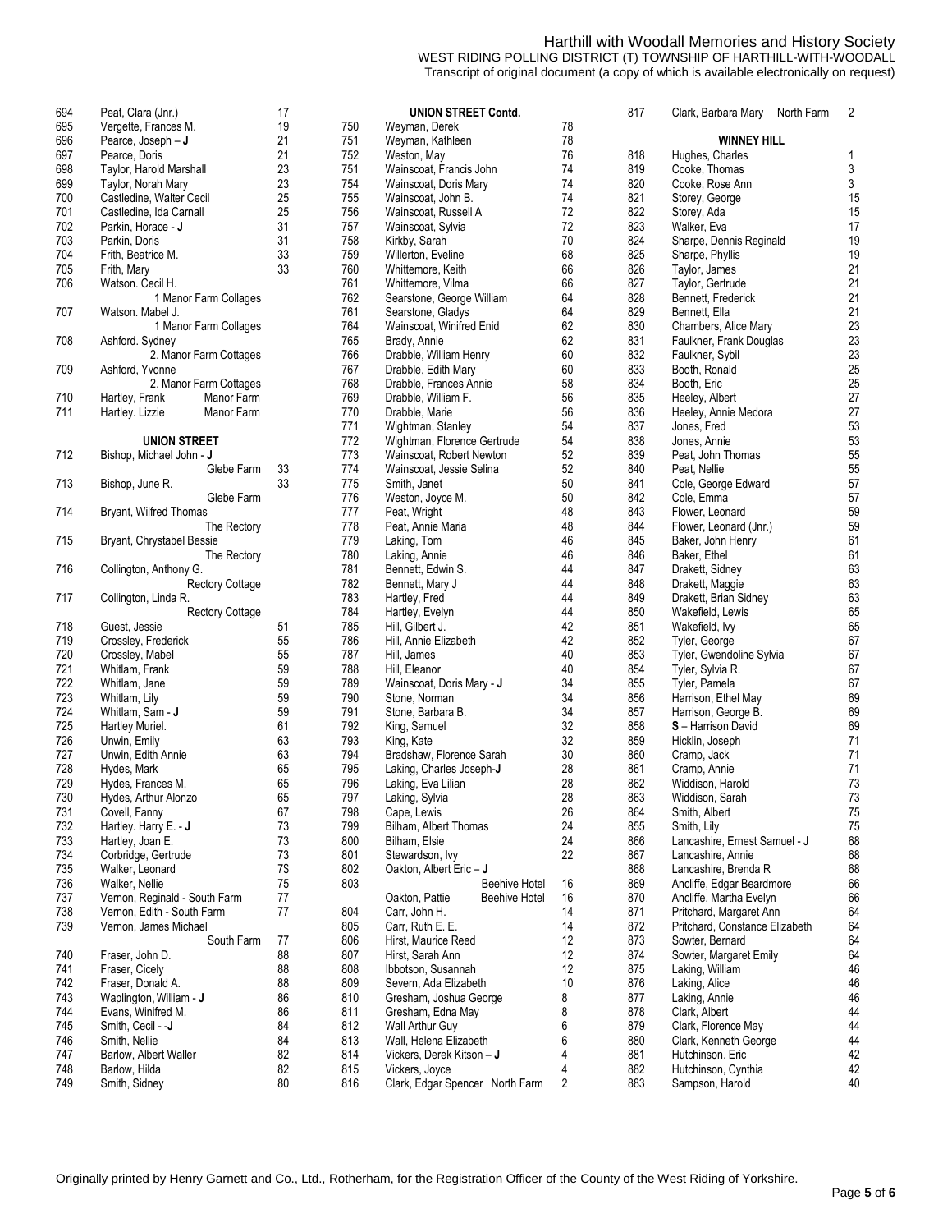## Harthill with Woodall Memories and History Society

WEST RIDING POLLING DISTRICT (T) TOWNSHIP OF HARTHILL-WITH-WOODALL Transcript of original document (a copy of which is available electronically on request)

| 694 | Peat, Clara (Jnr.)            | 17  | <b>UNION STREET Contd.</b>                   |
|-----|-------------------------------|-----|----------------------------------------------|
| 695 | Vergette, Frances M.          | 19  | 750<br>78<br>Weyman, Derek                   |
| 696 | Pearce, Joseph - J            | 21  | 751<br>78<br>Weyman, Kathleen                |
| 697 | Pearce, Doris                 | 21  | 76<br>752<br>Weston, May                     |
| 698 | Taylor, Harold Marshall       | 23  | 74<br>751<br>Wainscoat, Francis John         |
| 699 | Taylor, Norah Mary            | 23  | 754<br>74<br>Wainscoat, Doris Mary           |
| 700 | Castledine, Walter Cecil      | 25  | 755<br>74<br>Wainscoat, John B.              |
| 701 | Castledine, Ida Carnall       | 25  | 72<br>756<br>Wainscoat, Russell A            |
| 702 | Parkin, Horace - J            | 31  | 757<br>72                                    |
|     |                               | 31  | Wainscoat, Sylvia<br>70                      |
| 703 | Parkin, Doris                 | 33  | 758<br>Kirkby, Sarah                         |
| 704 | Frith, Beatrice M.            |     | 68<br>759<br>Willerton, Eveline              |
| 705 | Frith, Mary                   | 33  | 66<br>760<br>Whittemore, Keith               |
| 706 | Watson, Cecil H.              |     | 761<br>66<br>Whittemore, Vilma               |
|     | 1 Manor Farm Collages         |     | 762<br>64<br>Searstone, George William       |
| 707 | Watson. Mabel J.              |     | 761<br>64<br>Searstone, Gladys               |
|     | 1 Manor Farm Collages         |     | 62<br>764<br>Wainscoat, Winifred Enid        |
| 708 | Ashford. Sydney               |     | 62<br>765<br>Brady, Annie                    |
|     | 2. Manor Farm Cottages        |     | 766<br>60<br>Drabble, William Henry          |
| 709 | Ashford, Yvonne               |     | 60<br>767<br>Drabble, Edith Mary             |
|     | 2. Manor Farm Cottages        |     | 58<br>768<br>Drabble, Frances Annie          |
| 710 | Hartley, Frank<br>Manor Farm  |     | 769<br>56<br>Drabble, William F.             |
| 711 | Hartley. Lizzie<br>Manor Farm |     | 770<br>Drabble, Marie<br>56                  |
|     |                               |     | 771<br>54<br>Wightman, Stanley               |
|     | <b>UNION STREET</b>           |     | 772<br>54<br>Wightman, Florence Gertrude     |
| 712 | Bishop, Michael John - J      |     | 52<br>773<br>Wainscoat, Robert Newton        |
|     | Glebe Farm                    | 33  | 774<br>52<br>Wainscoat, Jessie Selina        |
| 713 | Bishop, June R.               | 33  | 775<br>50<br>Smith, Janet                    |
|     | Glebe Farm                    |     | 776<br>50<br>Weston, Joyce M.                |
| 714 | Bryant, Wilfred Thomas        |     | 48<br>777<br>Peat, Wright                    |
|     | The Rectory                   |     | 778<br>48<br>Peat, Annie Maria               |
| 715 | Bryant, Chrystabel Bessie     |     | 46<br>779<br>Laking, Tom                     |
|     |                               |     | 780<br>46                                    |
| 716 | The Rectory                   |     | Laking, Annie<br>44<br>781                   |
|     | Collington, Anthony G.        |     | Bennett, Edwin S.                            |
|     | <b>Rectory Cottage</b>        |     | 44<br>782<br>Bennett, Mary J                 |
| 717 | Collington, Linda R.          |     | 44<br>783<br>Hartley, Fred                   |
|     | Rectory Cottage               |     | 44<br>784<br>Hartley, Evelyn                 |
| 718 | Guest, Jessie                 | 51  | 42<br>785<br>Hill, Gilbert J.                |
| 719 | Crossley, Frederick           | 55  | 42<br>786<br>Hill, Annie Elizabeth           |
| 720 | Crossley, Mabel               | 55  | 787<br>40<br>Hill, James                     |
| 721 | Whitlam, Frank                | 59  | 788<br>40<br>Hill, Eleanor                   |
| 722 | Whitlam, Jane                 | 59  | 789<br>Wainscoat, Doris Mary - J<br>34       |
| 723 | Whitlam, Lily                 | 59  | 790<br>34<br>Stone, Norman                   |
| 724 | Whitlam, Sam - J              | 59  | 791<br>34<br>Stone, Barbara B.               |
| 725 | Hartley Muriel.               | 61  | 792<br>32<br>King, Samuel                    |
| 726 | Unwin, Emily                  | 63  | 32<br>793<br>King, Kate                      |
| 727 | Unwin, Edith Annie            | 63  | 794<br>30<br>Bradshaw, Florence Sarah        |
| 728 | Hydes, Mark                   | 65  | 795<br>28<br>Laking, Charles Joseph-J        |
| 729 | Hydes, Frances M.             | 65  | 28<br>796<br>Laking, Eva Lilian              |
| 730 | Hydes, Arthur Alonzo          | 65  | 28<br>797<br>Laking, Sylvia                  |
| 731 | Covell, Fanny                 | 67  | 798<br>26<br>Cape, Lewis                     |
| 732 | Hartley. Harry E. - J         | 73  | 799<br>Bilham, Albert Thomas<br>24           |
| 733 | Hartley, Joan E.              | 73  | 800<br>24<br>Bilham, Elsie                   |
| 734 | Corbridge, Gertrude           | 73  | 801<br>22<br>Stewardson, Ivy                 |
| 735 | Walker, Leonard               | 7\$ | Oakton, Albert Eric-J<br>802                 |
| 736 | Walker, Nellie                | 75  | <b>Beehive Hotel</b><br>16<br>803            |
| 737 | Vernon, Reginald - South Farm | 77  | Oakton, Pattie<br><b>Beehive Hotel</b><br>16 |
| 738 | Vernon, Edith - South Farm    | 77  | 804<br>14<br>Carr, John H.                   |
| 739 |                               |     | 805<br>14                                    |
|     | Vernon, James Michael         |     | Carr, Ruth E. E.                             |
|     | South Farm                    | 77  | 806<br>12<br>Hirst, Maurice Reed             |
| 740 | Fraser, John D.               | 88  | 807<br>Hirst, Sarah Ann<br>12                |
| 741 | Fraser, Cicely                | 88  | 12<br>808<br>Ibbotson, Susannah              |
| 742 | Fraser, Donald A.             | 88  | 809<br>Severn, Ada Elizabeth<br>10           |
| 743 | Waplington, William - J       | 86  | 810<br>Gresham, Joshua George<br>8           |
| 744 | Evans, Winifred M.            | 86  | 811<br>8<br>Gresham, Edna May                |
| 745 | Smith, Cecil - -J             | 84  | 812<br>Wall Arthur Guy<br>6                  |
| 746 | Smith, Nellie                 | 84  | 6<br>813<br>Wall, Helena Elizabeth           |
| 747 | Barlow, Albert Waller         | 82  | 814<br>4<br>Vickers, Derek Kitson – <b>J</b> |
| 748 | Barlow, Hilda                 | 82  | 815<br>4<br>Vickers, Joyce                   |
|     |                               |     |                                              |

| 694 | Peat, Clara (Jnr.)                   | 17  |     | <b>UNION STREET Contd.</b>             |    | 817 | Clark, Barbara Mary North Farm | 2  |
|-----|--------------------------------------|-----|-----|----------------------------------------|----|-----|--------------------------------|----|
| 695 | Vergette, Frances M.                 | 19  | 750 | Weyman, Derek                          | 78 |     |                                |    |
| 696 | Pearce, Joseph - J                   | 21  | 751 | Weyman, Kathleen                       | 78 |     | <b>WINNEY HILL</b>             |    |
| 697 | Pearce, Doris                        | 21  | 752 | Weston, May                            | 76 | 818 | Hughes, Charles                | 1  |
| 698 | Taylor, Harold Marshall              | 23  | 751 | Wainscoat, Francis John                | 74 | 819 | Cooke, Thomas                  | 3  |
| 699 | Taylor, Norah Mary                   | 23  | 754 | Wainscoat, Doris Mary                  | 74 | 820 | Cooke, Rose Ann                | 3  |
| 700 | Castledine, Walter Cecil             | 25  | 755 | Wainscoat, John B.                     | 74 | 821 | Storey, George                 | 15 |
| 701 | Castledine, Ida Camall               | 25  | 756 | Wainscoat, Russell A                   | 72 | 822 | Storey, Ada                    | 15 |
| 702 | Parkin, Horace - J                   | 31  | 757 | Wainscoat, Sylvia                      | 72 | 823 | Walker, Eva                    | 17 |
| 703 | Parkin, Doris                        | 31  | 758 | Kirkby, Sarah                          | 70 | 824 | Sharpe, Dennis Reginald        | 19 |
| 704 | Frith, Beatrice M.                   | 33  | 759 | Willerton, Eveline                     | 68 | 825 | Sharpe, Phyllis                | 19 |
| 705 | Frith, Mary                          | 33  | 760 | Whittemore, Keith                      | 66 | 826 | Taylor, James                  | 21 |
| 706 | Watson, Cecil H.                     |     | 761 | Whittemore, Vilma                      | 66 | 827 | Taylor, Gertrude               | 21 |
|     | 1 Manor Farm Collages                |     | 762 | Searstone, George William              | 64 | 828 | Bennett, Frederick             | 21 |
| 707 | Watson. Mabel J.                     |     | 761 | Searstone, Gladys                      | 64 | 829 | Bennett, Ella                  | 21 |
|     | 1 Manor Farm Collages                |     | 764 | Wainscoat, Winifred Enid               | 62 | 830 | Chambers, Alice Mary           | 23 |
| 708 | Ashford. Sydney                      |     | 765 | Brady, Annie                           | 62 | 831 | Faulkner, Frank Douglas        | 23 |
|     | 2. Manor Farm Cottages               |     | 766 | Drabble, William Henry                 | 60 | 832 | Faulkner, Sybil                | 23 |
| 709 | Ashford, Yvonne                      |     | 767 | Drabble, Edith Mary                    | 60 | 833 | Booth, Ronald                  | 25 |
|     | 2. Manor Farm Cottages               |     | 768 | Drabble, Frances Annie                 | 58 | 834 | Booth, Eric                    | 25 |
| 710 | Manor Farm<br>Hartley, Frank         |     | 769 | Drabble, William F.                    | 56 | 835 | Heeley, Albert                 | 27 |
| 711 | <b>Manor Farm</b><br>Hartley. Lizzie |     | 770 | Drabble, Marie                         | 56 | 836 | Heeley, Annie Medora           | 27 |
|     |                                      |     | 771 | Wightman, Stanley                      | 54 | 837 | Jones, Fred                    | 53 |
|     | <b>UNION STREET</b>                  |     | 772 | Wightman, Florence Gertrude            | 54 | 838 | Jones, Annie                   | 53 |
| 712 | Bishop, Michael John - J             |     | 773 | Wainscoat, Robert Newton               | 52 | 839 | Peat, John Thomas              | 55 |
|     | Glebe Farm                           | 33  | 774 | Wainscoat, Jessie Selina               | 52 | 840 | Peat, Nellie                   | 55 |
| 713 | Bishop, June R.                      | 33  | 775 | Smith, Janet                           | 50 | 841 | Cole, George Edward            | 57 |
|     | Glebe Farm                           |     | 776 | Weston, Joyce M.                       | 50 | 842 | Cole, Emma                     | 57 |
| 714 | Bryant, Wilfred Thomas               |     | 777 | Peat, Wright                           | 48 | 843 | Flower, Leonard                | 59 |
|     | The Rectory                          |     | 778 | Peat, Annie Maria                      | 48 | 844 | Flower, Leonard (Jnr.)         | 59 |
| 715 | Bryant, Chrystabel Bessie            |     | 779 | Laking, Tom                            | 46 | 845 | Baker, John Henry              | 61 |
|     | The Rectory                          |     | 780 | Laking, Annie                          | 46 | 846 | Baker, Ethel                   | 61 |
| 716 | Collington, Anthony G.               |     | 781 | Bennett, Edwin S.                      | 44 | 847 | Drakett, Sidney                | 63 |
|     | <b>Rectory Cottage</b>               |     | 782 | Bennett, Mary J                        | 44 | 848 | Drakett, Maggie                | 63 |
| 717 | Collington, Linda R.                 |     | 783 | Hartley, Fred                          | 44 | 849 | Drakett, Brian Sidney          | 63 |
|     | <b>Rectory Cottage</b>               |     | 784 | Hartley, Evelyn                        | 44 | 850 | Wakefield, Lewis               | 65 |
| 718 | Guest, Jessie                        | 51  | 785 | Hill, Gilbert J.                       | 42 | 851 | Wakefield, Ivy                 | 65 |
| 719 | Crossley, Frederick                  | 55  | 786 | Hill, Annie Elizabeth                  | 42 | 852 | Tyler, George                  | 67 |
| 720 | Crossley, Mabel                      | 55  | 787 | Hill, James                            | 40 | 853 | Tyler, Gwendoline Sylvia       | 67 |
| 721 | Whitlam, Frank                       | 59  | 788 | Hill, Eleanor                          | 40 | 854 | Tyler, Sylvia R.               | 67 |
| 722 | Whitlam, Jane                        | 59  | 789 | Wainscoat, Doris Mary - J              | 34 | 855 | Tyler, Pamela                  | 67 |
| 723 | Whitlam, Lily                        | 59  | 790 | Stone, Norman                          | 34 | 856 | Harrison, Ethel May            | 69 |
| 724 | Whitlam, Sam - <b>J</b>              | 59  | 791 | Stone, Barbara B.                      | 34 | 857 | Harrison, George B.            | 69 |
| 725 | Hartley Muriel.                      | 61  | 792 | King, Samuel                           | 32 | 858 | S - Harrison David             | 69 |
| 726 | Unwin, Emily                         | 63  | 793 | King, Kate                             | 32 | 859 | Hicklin, Joseph                | 71 |
| 727 | Unwin, Edith Annie                   | 63  | 794 | Bradshaw, Florence Sarah               | 30 | 860 | Cramp, Jack                    | 71 |
| 728 | Hydes, Mark                          | 65  | 795 | Laking, Charles Joseph-J               | 28 | 861 | Cramp, Annie                   | 71 |
| 729 | Hydes, Frances M.                    | 65  | 796 | Laking, Eva Lilian                     | 28 | 862 | Widdison, Harold               | 73 |
| 730 | Hydes, Arthur Alonzo                 | 65  | 797 | Laking, Sylvia                         | 28 | 863 | Widdison, Sarah                | 73 |
| 731 | Covell, Fanny                        | 67  | 798 | Cape, Lewis                            | 26 | 864 | Smith, Albert                  | 75 |
| 732 | Hartley. Harry E. - J                | 73  | 799 | Bilham, Albert Thomas                  | 24 | 855 | Smith, Lily                    | 75 |
| 733 | Hartley, Joan E.                     | 73  | 800 | Bilham, Elsie                          | 24 | 866 | Lancashire, Ernest Samuel - J  | 68 |
| 734 | Corbridge, Gertrude                  | 73  | 801 | Stewardson, Ivy                        | 22 | 867 | Lancashire, Annie              | 68 |
| 735 | Walker, Leonard                      | 7\$ | 802 | Oakton, Albert Eric-J                  |    | 868 | Lancashire, Brenda R           | 68 |
| 736 | Walker, Nellie                       | 75  | 803 | <b>Beehive Hotel</b>                   | 16 | 869 | Ancliffe, Edgar Beardmore      | 66 |
| 737 | Vernon, Reginald - South Farm        | 77  |     | Oakton, Pattie<br><b>Beehive Hotel</b> | 16 | 870 | Ancliffe, Martha Evelyn        | 66 |
| 738 | Vernon, Edith - South Farm           | 77  | 804 | Carr, John H.                          | 14 | 871 | Pritchard, Margaret Ann        | 64 |
| 739 | Vernon, James Michael                |     | 805 | Carr, Ruth E. E.                       | 14 | 872 | Pritchard, Constance Elizabeth | 64 |
|     | South Farm                           | 77  | 806 | Hirst, Maurice Reed                    | 12 | 873 | Sowter, Bernard                | 64 |
| 740 | Fraser, John D.                      | 88  | 807 | Hirst, Sarah Ann                       | 12 | 874 | Sowter, Margaret Emily         | 64 |
| 741 | Fraser, Cicely                       | 88  | 808 | Ibbotson, Susannah                     | 12 | 875 | Laking, William                | 46 |
| 742 | Fraser, Donald A.                    | 88  | 809 | Severn, Ada Elizabeth                  | 10 | 876 | Laking, Alice                  | 46 |
| 743 | Waplington, William - <b>J</b>       | 86  | 810 | Gresham, Joshua George                 | 8  | 877 | Laking, Annie                  | 46 |
| 744 | Evans, Winifred M.                   | 86  | 811 | Gresham, Edna May                      | 8  | 878 | Clark, Albert                  | 44 |
| 745 | Smith, Cecil - -J                    | 84  | 812 | Wall Arthur Guy                        | 6  | 879 | Clark, Florence May            | 44 |
| 746 | Smith, Nellie                        | 84  | 813 | Wall, Helena Elizabeth                 | 6  | 880 | Clark, Kenneth George          | 44 |
| 747 | Barlow, Albert Waller                | 82  | 814 | Vickers, Derek Kitson - J              | 4  | 881 | Hutchinson. Eric               | 42 |
| 748 | Barlow, Hilda                        | 82  | 815 | Vickers, Joyce                         | 4  | 882 | Hutchinson, Cynthia            | 42 |
| 749 | Smith, Sidney                        | 80  | 816 | Clark, Edgar Spencer North Farm        | 2  | 883 | Sampson, Harold                | 40 |
|     |                                      |     |     |                                        |    |     |                                |    |